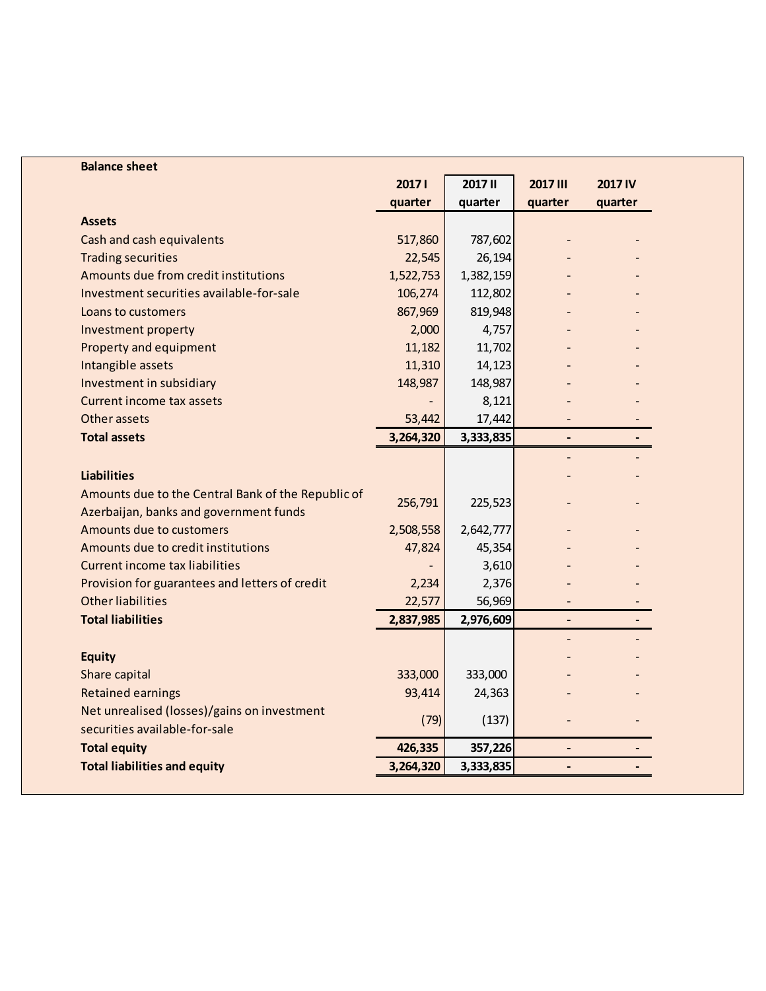| <b>Balance sheet</b>                               |           |           |                              |                |
|----------------------------------------------------|-----------|-----------|------------------------------|----------------|
|                                                    | 20171     | 2017 II   | 2017 III                     | <b>2017 IV</b> |
|                                                    | quarter   | quarter   | quarter                      | quarter        |
| <b>Assets</b>                                      |           |           |                              |                |
| Cash and cash equivalents                          | 517,860   | 787,602   |                              |                |
| <b>Trading securities</b>                          | 22,545    | 26,194    |                              |                |
| Amounts due from credit institutions               | 1,522,753 | 1,382,159 |                              |                |
| Investment securities available-for-sale           | 106,274   | 112,802   |                              |                |
| Loans to customers                                 | 867,969   | 819,948   |                              |                |
| Investment property                                | 2,000     | 4,757     |                              |                |
| Property and equipment                             | 11,182    | 11,702    |                              |                |
| Intangible assets                                  | 11,310    | 14,123    |                              |                |
| Investment in subsidiary                           | 148,987   | 148,987   |                              |                |
| Current income tax assets                          |           | 8,121     |                              |                |
| Other assets                                       | 53,442    | 17,442    |                              |                |
| <b>Total assets</b>                                | 3,264,320 | 3,333,835 | $\qquad \qquad \blacksquare$ |                |
|                                                    |           |           |                              |                |
| <b>Liabilities</b>                                 |           |           |                              |                |
| Amounts due to the Central Bank of the Republic of |           |           |                              |                |
| Azerbaijan, banks and government funds             | 256,791   | 225,523   |                              |                |
| Amounts due to customers                           | 2,508,558 | 2,642,777 |                              |                |
| Amounts due to credit institutions                 | 47,824    | 45,354    |                              |                |
| <b>Current income tax liabilities</b>              |           | 3,610     |                              |                |
| Provision for guarantees and letters of credit     | 2,234     | 2,376     |                              |                |
| <b>Other liabilities</b>                           | 22,577    | 56,969    |                              |                |
| <b>Total liabilities</b>                           | 2,837,985 | 2,976,609 |                              |                |
|                                                    |           |           |                              |                |
| <b>Equity</b>                                      |           |           |                              |                |
| Share capital                                      | 333,000   | 333,000   |                              |                |
| <b>Retained earnings</b>                           | 93,414    | 24,363    |                              |                |
| Net unrealised (losses)/gains on investment        |           |           |                              |                |
| securities available-for-sale                      | (79)      | (137)     |                              |                |
| <b>Total equity</b>                                | 426,335   | 357,226   | $\overline{\phantom{0}}$     |                |
| <b>Total liabilities and equity</b>                | 3,264,320 | 3,333,835 |                              |                |
|                                                    |           |           |                              |                |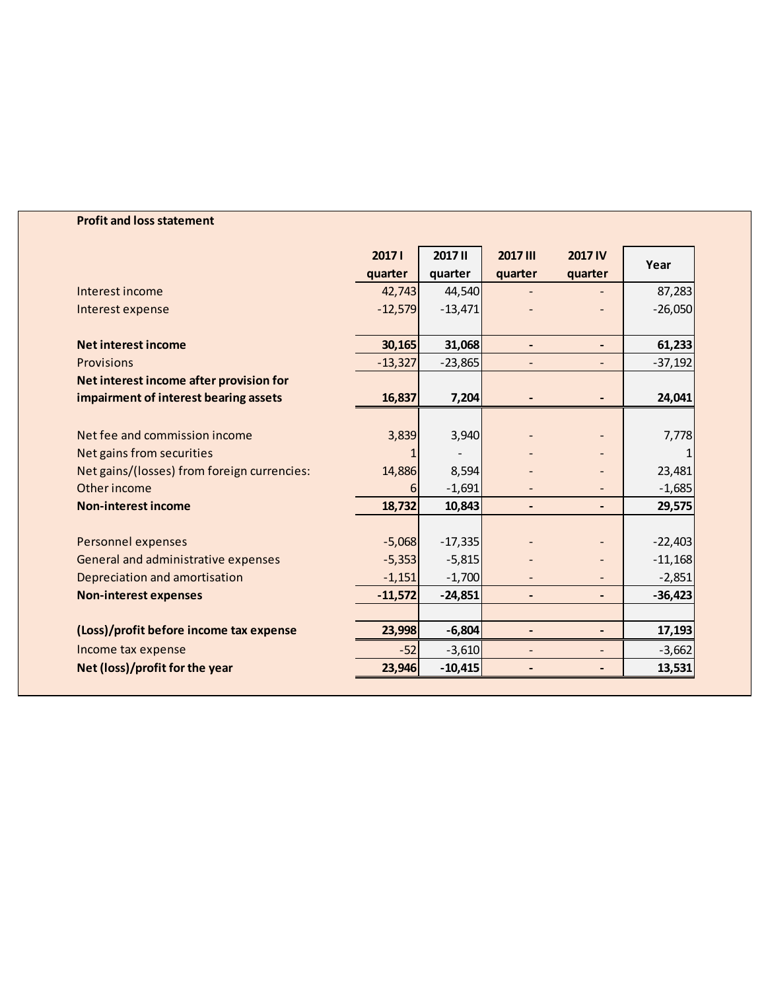## **Profit and loss statement**

|                                             | 20171     | <b>2017 II</b> | 2017 III                     | <b>2017 IV</b> | Year      |
|---------------------------------------------|-----------|----------------|------------------------------|----------------|-----------|
|                                             | quarter   | quarter        | quarter                      | quarter        |           |
| Interest income                             | 42,743    | 44,540         |                              |                | 87,283    |
| Interest expense                            | $-12,579$ | $-13,471$      |                              |                | $-26,050$ |
|                                             |           |                |                              |                |           |
| <b>Net interest income</b>                  | 30,165    | 31,068         |                              | $\blacksquare$ | 61,233    |
| Provisions                                  | $-13,327$ | $-23,865$      |                              |                | $-37,192$ |
| Net interest income after provision for     |           |                |                              |                |           |
| impairment of interest bearing assets       | 16,837    | 7,204          |                              |                | 24,041    |
|                                             |           |                |                              |                |           |
| Net fee and commission income               | 3,839     | 3,940          |                              |                | 7,778     |
| Net gains from securities                   |           |                |                              |                |           |
| Net gains/(losses) from foreign currencies: | 14,886    | 8,594          |                              |                | 23,481    |
| Other income                                | 6         | $-1,691$       |                              |                | $-1,685$  |
| <b>Non-interest income</b>                  | 18,732    | 10,843         | $\qquad \qquad \blacksquare$ |                | 29,575    |
|                                             |           |                |                              |                |           |
| Personnel expenses                          | $-5,068$  | $-17,335$      |                              |                | $-22,403$ |
| General and administrative expenses         | $-5,353$  | $-5,815$       |                              |                | $-11,168$ |
| Depreciation and amortisation               | $-1,151$  | $-1,700$       |                              |                | $-2,851$  |
| <b>Non-interest expenses</b>                | $-11,572$ | $-24,851$      | $\qquad \qquad \blacksquare$ |                | $-36,423$ |
|                                             |           |                |                              |                |           |
| (Loss)/profit before income tax expense     | 23,998    | $-6,804$       | $\qquad \qquad \blacksquare$ |                | 17,193    |
| Income tax expense                          | $-52$     | $-3,610$       | $\overline{a}$               |                | $-3,662$  |
| Net (loss)/profit for the year              | 23,946    | $-10,415$      |                              |                | 13,531    |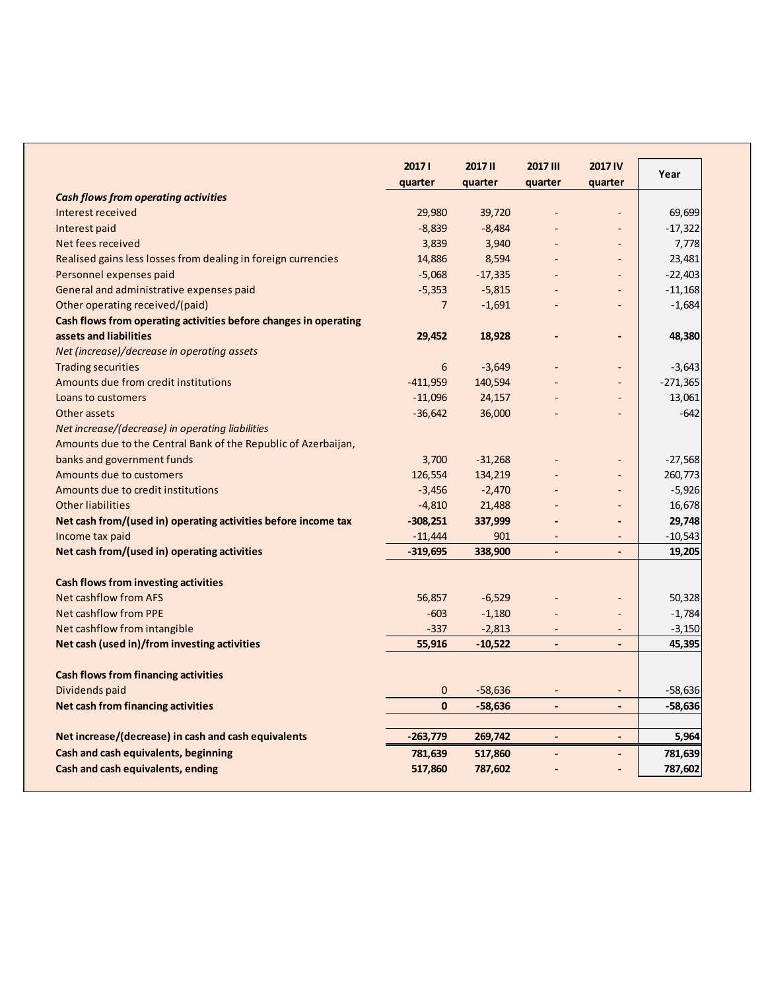|                                                                  | 20171          | <b>2017 II</b> | 2017 III                 | <b>2017 IV</b>               | Year       |
|------------------------------------------------------------------|----------------|----------------|--------------------------|------------------------------|------------|
|                                                                  | quarter        | quarter        | quarter                  | quarter                      |            |
| <b>Cash flows from operating activities</b>                      |                |                |                          |                              |            |
| Interest received                                                | 29,980         | 39,720         |                          | ÷,                           | 69,699     |
| Interest paid                                                    | $-8,839$       | $-8,484$       |                          |                              | $-17,322$  |
| Net fees received                                                | 3,839          | 3,940          |                          |                              | 7,778      |
| Realised gains less losses from dealing in foreign currencies    | 14,886         | 8,594          |                          | $\qquad \qquad -$            | 23,481     |
| Personnel expenses paid                                          | $-5,068$       | $-17,335$      |                          | $\qquad \qquad \blacksquare$ | $-22,403$  |
| General and administrative expenses paid                         | $-5,353$       | $-5,815$       |                          | $\qquad \qquad -$            | $-11,168$  |
| Other operating received/(paid)                                  | $\overline{7}$ | $-1,691$       |                          | $\overline{a}$               | $-1,684$   |
| Cash flows from operating activities before changes in operating |                |                |                          |                              |            |
| assets and liabilities                                           | 29,452         | 18,928         |                          |                              | 48,380     |
| Net (increase)/decrease in operating assets                      |                |                |                          |                              |            |
| <b>Trading securities</b>                                        | 6              | $-3,649$       |                          | $\blacksquare$               | $-3,643$   |
| Amounts due from credit institutions                             | $-411,959$     | 140,594        |                          |                              | $-271,365$ |
| Loans to customers                                               | $-11,096$      | 24,157         |                          |                              | 13,061     |
| Other assets                                                     | $-36,642$      | 36,000         |                          |                              | $-642$     |
| Net increase/(decrease) in operating liabilities                 |                |                |                          |                              |            |
| Amounts due to the Central Bank of the Republic of Azerbaijan,   |                |                |                          |                              |            |
| banks and government funds                                       | 3,700          | $-31,268$      |                          | $\qquad \qquad \blacksquare$ | $-27,568$  |
| Amounts due to customers                                         | 126,554        | 134,219        |                          | $\blacksquare$               | 260,773    |
| Amounts due to credit institutions                               | $-3,456$       | $-2,470$       |                          | $\overline{a}$               | $-5,926$   |
| <b>Other liabilities</b>                                         | $-4,810$       | 21,488         |                          | $\qquad \qquad -$            | 16,678     |
| Net cash from/(used in) operating activities before income tax   | $-308,251$     | 337,999        |                          | $\qquad \qquad \blacksquare$ | 29,748     |
| Income tax paid                                                  | $-11,444$      | 901            | $\overline{\phantom{a}}$ | $\overline{\phantom{a}}$     | $-10,543$  |
| Net cash from/(used in) operating activities                     | $-319,695$     | 338,900        | $\overline{\phantom{a}}$ | $\qquad \qquad \blacksquare$ | 19,205     |
|                                                                  |                |                |                          |                              |            |
| <b>Cash flows from investing activities</b>                      |                |                |                          |                              |            |
| <b>Net cashflow from AFS</b>                                     | 56,857         | $-6,529$       |                          |                              | 50,328     |
| <b>Net cashflow from PPE</b>                                     | $-603$         | $-1,180$       |                          | $\qquad \qquad \blacksquare$ | $-1,784$   |
| Net cashflow from intangible                                     | $-337$         | $-2,813$       | $\overline{\phantom{a}}$ | $\qquad \qquad -$            | $-3,150$   |
| Net cash (used in)/from investing activities                     | 55,916         | $-10,522$      | $\overline{\phantom{a}}$ | $\overline{a}$               | 45,395     |
| <b>Cash flows from financing activities</b>                      |                |                |                          |                              |            |
| Dividends paid                                                   | $\mathbf 0$    | $-58,636$      |                          | $\qquad \qquad -$            | $-58,636$  |
| Net cash from financing activities                               | $\mathbf{0}$   | $-58,636$      | $\overline{\phantom{a}}$ | $\frac{1}{2}$                | $-58,636$  |
| Net increase/(decrease) in cash and cash equivalents             | $-263,779$     | 269,742        | $\blacksquare$           | $\qquad \qquad \blacksquare$ | 5,964      |
| Cash and cash equivalents, beginning                             | 781,639        | 517,860        |                          |                              | 781,639    |
| Cash and cash equivalents, ending                                | 517,860        | 787,602        |                          |                              | 787,602    |